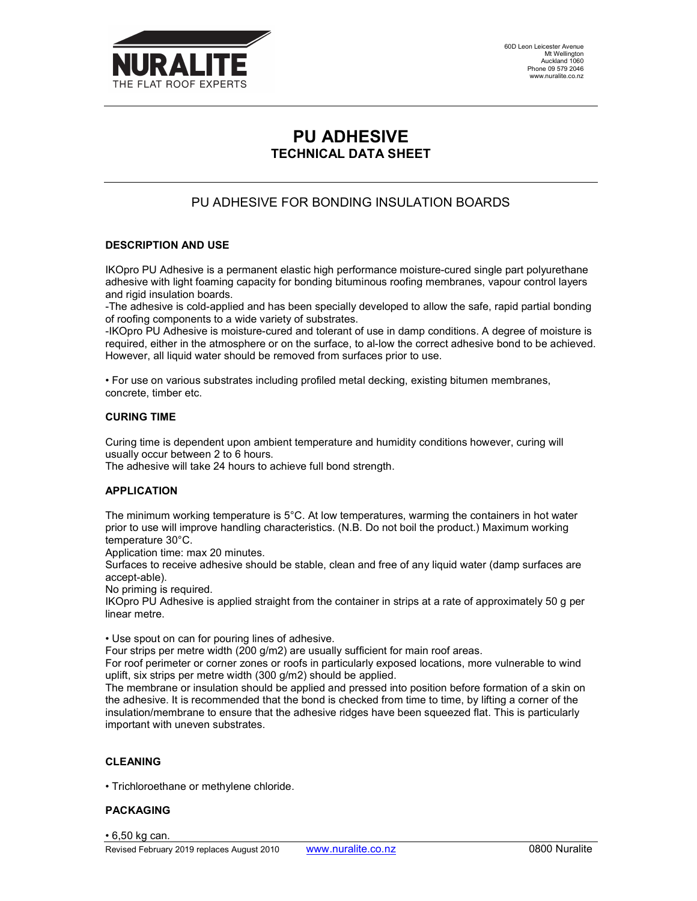

60D Leon Leicester Avenue Mt Wellington Auckland 1060 Phone 09 579 2046 www.nuralite.co.nz

# PU ADHESIVE TECHNICAL DATA SHEET

# PU ADHESIVE FOR BONDING INSULATION BOARDS

## DESCRIPTION AND USE

IKOpro PU Adhesive is a permanent elastic high performance moisture-cured single part polyurethane adhesive with light foaming capacity for bonding bituminous roofing membranes, vapour control layers and rigid insulation boards.

-The adhesive is cold-applied and has been specially developed to allow the safe, rapid partial bonding of roofing components to a wide variety of substrates.

-IKOpro PU Adhesive is moisture-cured and tolerant of use in damp conditions. A degree of moisture is required, either in the atmosphere or on the surface, to al-low the correct adhesive bond to be achieved. However, all liquid water should be removed from surfaces prior to use.

• For use on various substrates including profiled metal decking, existing bitumen membranes, concrete, timber etc.

#### CURING TIME

Curing time is dependent upon ambient temperature and humidity conditions however, curing will usually occur between 2 to 6 hours.

The adhesive will take 24 hours to achieve full bond strength.

# APPLICATION

The minimum working temperature is 5°C. At low temperatures, warming the containers in hot water prior to use will improve handling characteristics. (N.B. Do not boil the product.) Maximum working temperature 30°C.

Application time: max 20 minutes.

Surfaces to receive adhesive should be stable, clean and free of any liquid water (damp surfaces are accept-able).

No priming is required.

IKOpro PU Adhesive is applied straight from the container in strips at a rate of approximately 50 g per linear metre.

• Use spout on can for pouring lines of adhesive.

Four strips per metre width (200 g/m2) are usually sufficient for main roof areas.

For roof perimeter or corner zones or roofs in particularly exposed locations, more vulnerable to wind uplift, six strips per metre width (300 g/m2) should be applied.

The membrane or insulation should be applied and pressed into position before formation of a skin on the adhesive. It is recommended that the bond is checked from time to time, by lifting a corner of the insulation/membrane to ensure that the adhesive ridges have been squeezed flat. This is particularly important with uneven substrates.

#### CLEANING

• Trichloroethane or methylene chloride.

#### PACKAGING